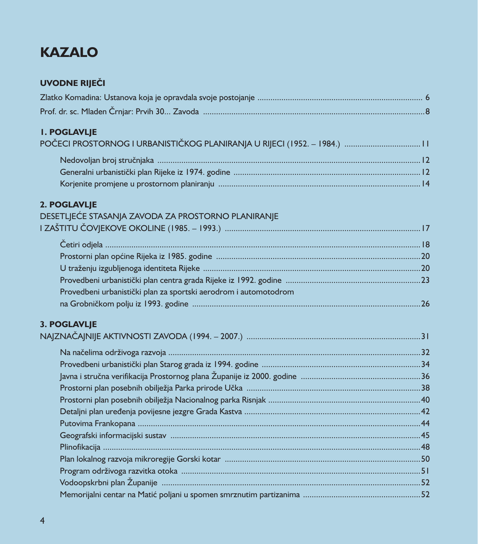# **KAZALO**

#### **UVODNE RIJEČI**

| <b>I. POGLAVLJE</b> |  |
|---------------------|--|
|                     |  |

## 2. POGLAVLJE

| DESETLJEĆE STASANJA ZAVODA ZA PROSTORNO PLANIRANJE               |  |
|------------------------------------------------------------------|--|
|                                                                  |  |
|                                                                  |  |
|                                                                  |  |
|                                                                  |  |
|                                                                  |  |
| Provedbeni urbanistički plan za sportski aerodrom i automotodrom |  |
|                                                                  |  |
| 3. POGLAVLJE                                                     |  |
|                                                                  |  |
|                                                                  |  |
|                                                                  |  |
|                                                                  |  |
|                                                                  |  |
|                                                                  |  |
|                                                                  |  |
|                                                                  |  |
|                                                                  |  |
|                                                                  |  |
|                                                                  |  |
|                                                                  |  |
|                                                                  |  |

 $\overline{4}$